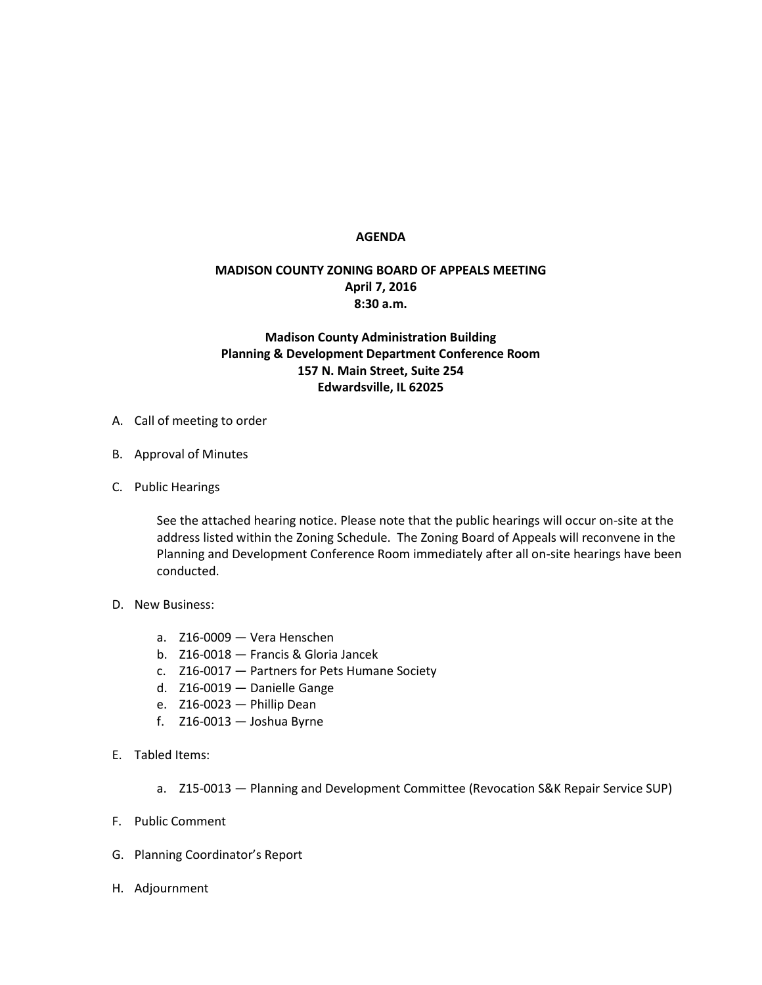## **AGENDA**

## **MADISON COUNTY ZONING BOARD OF APPEALS MEETING April 7, 2016 8:30 a.m.**

## **Madison County Administration Building Planning & Development Department Conference Room 157 N. Main Street, Suite 254 Edwardsville, IL 62025**

- A. Call of meeting to order
- B. Approval of Minutes
- C. Public Hearings

See the attached hearing notice. Please note that the public hearings will occur on-site at the address listed within the Zoning Schedule. The Zoning Board of Appeals will reconvene in the Planning and Development Conference Room immediately after all on-site hearings have been conducted.

- D. New Business:
	- a. Z16-0009 Vera Henschen
	- b. Z16-0018 Francis & Gloria Jancek
	- c. Z16-0017 Partners for Pets Humane Society
	- d. Z16-0019 Danielle Gange
	- e. Z16-0023 Phillip Dean
	- f. Z16-0013 Joshua Byrne
- E. Tabled Items:
	- a. Z15-0013 Planning and Development Committee (Revocation S&K Repair Service SUP)
- F. Public Comment
- G. Planning Coordinator's Report
- H. Adjournment